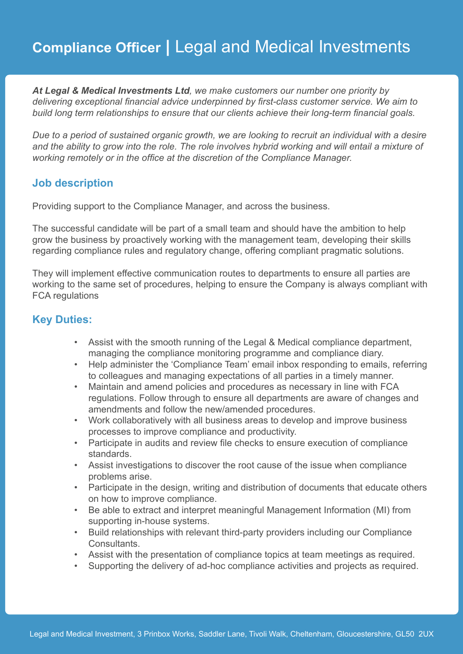# **Compliance Officer |** Legal and Medical Investments

*At Legal & Medical Investments Ltd, we make customers our number one priority by delivering exceptional financial advice underpinned by first-class customer service. We aim to build long term relationships to ensure that our clients achieve their long-term financial goals.* 

*Due to a period of sustained organic growth, we are looking to recruit an individual with a desire and the ability to grow into the role. The role involves hybrid working and will entail a mixture of working remotely or in the office at the discretion of the Compliance Manager.*

### **Job description**

Providing support to the Compliance Manager, and across the business.

The successful candidate will be part of a small team and should have the ambition to help grow the business by proactively working with the management team, developing their skills regarding compliance rules and regulatory change, offering compliant pragmatic solutions.

They will implement effective communication routes to departments to ensure all parties are working to the same set of procedures, helping to ensure the Company is always compliant with FCA regulations

## **Key Duties:**

- Assist with the smooth running of the Legal & Medical compliance department, managing the compliance monitoring programme and compliance diary.
- Help administer the 'Compliance Team' email inbox responding to emails, referring to colleagues and managing expectations of all parties in a timely manner.
- Maintain and amend policies and procedures as necessary in line with FCA regulations. Follow through to ensure all departments are aware of changes and amendments and follow the new/amended procedures.
- Work collaboratively with all business areas to develop and improve business processes to improve compliance and productivity.
- Participate in audits and review file checks to ensure execution of compliance standards.
- Assist investigations to discover the root cause of the issue when compliance problems arise.
- Participate in the design, writing and distribution of documents that educate others on how to improve compliance.
- Be able to extract and interpret meaningful Management Information (MI) from supporting in-house systems.
- Build relationships with relevant third-party providers including our Compliance **Consultants**
- Assist with the presentation of compliance topics at team meetings as required.
- Supporting the delivery of ad-hoc compliance activities and projects as required.